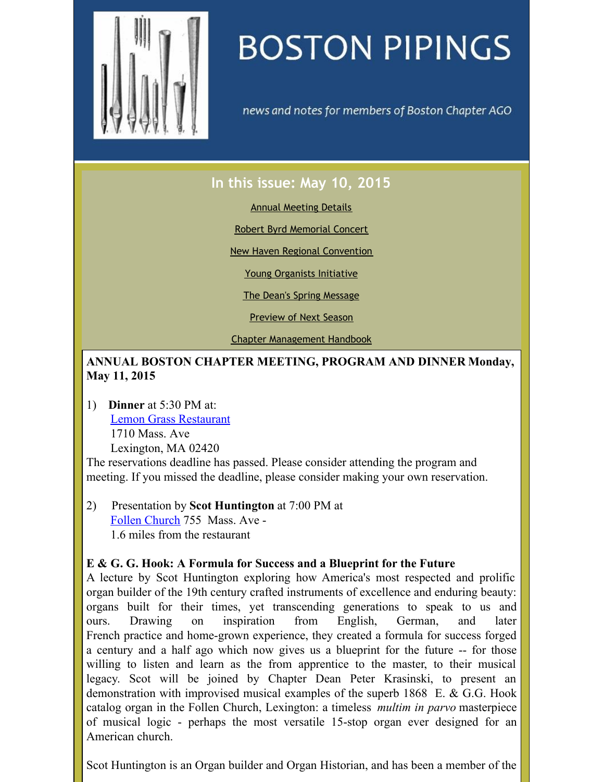<span id="page-0-0"></span>

# **BOSTON PIPINGS**

news and notes for members of Boston Chapter AGO

# **In this issue: May 10, 2015**

#### Annual [Meeting](#page-0-0) Details

Robert Byrd [Memorial](#page-0-0) Concert

New Haven Regional [Convention](#page-0-0)

Young [Organists](#page-0-0) Initiative

The Dean's Spring [Message](#page-0-0)

[Preview](#page-0-0) of Next Season

Chapter [Management](#page-0-0) Handbook

**ANNUAL BOSTON CHAPTER MEETING, PROGRAM AND DINNER Monday, May 11, 2015**

1) **Dinner** at 5:30 PM at: Lemon Grass [Restaurant](http://www.lemongrassmenu.com) 1710 Mass. Ave Lexington, MA 02420

The reservations deadline has passed. Please consider attending the program and meeting. If you missed the deadline, please consider making your own reservation.

2) Presentation by **Scot Huntington** at 7:00 PM at Follen [Church](http://follen.org) 755 Mass. Ave - 1.6 miles from the restaurant

# **E & G. G. Hook: A Formula for Success and a Blueprint for the Future**

A lecture by Scot Huntington exploring how America's most respected and prolific organ builder of the 19th century crafted instruments of excellence and enduring beauty: organs built for their times, yet transcending generations to speak to us and ours. Drawing on inspiration from English, German, and later French practice and home-grown experience, they created a formula for success forged a century and a half ago which now gives us a blueprint for the future -- for those willing to listen and learn as the from apprentice to the master, to their musical legacy. Scot will be joined by Chapter Dean Peter Krasinski, to present an demonstration with improvised musical examples of the superb 1868 E. & G.G. Hook catalog organ in the Follen Church, Lexington: a timeless *multim in parvo* masterpiece of musical logic - perhaps the most versatile 15-stop organ ever designed for an American church.

Scot Huntington is an Organ builder and Organ Historian, and has been a member of the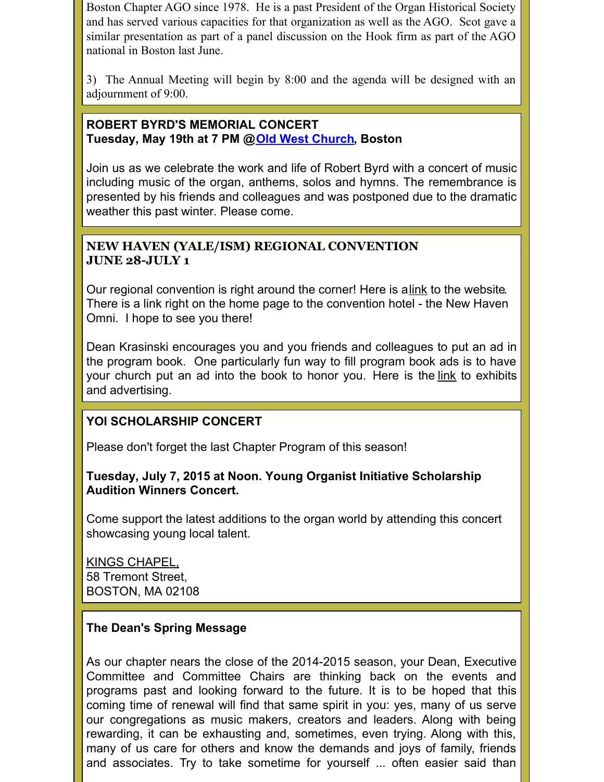Boston Chapter AGO since 1978. He is a past President of the Organ Historical Society and has served various capacities for that organization as well as the AGO. Scot gave a similar presentation as part of a panel discussion on the Hook firm as part of the AGO national in Boston last June.

3) The Annual Meeting will begin by 8:00 and the agenda will be designed with an adjournment of 9:00.

# **ROBERT BYRD'S MEMORIAL CONCERT**

**Tuesday, May 19th at 7 PM @Old West [Church](http://www.oldwestchurch.org), Boston**

Join us as we celebrate the work and life of Robert Byrd with a concert of music including music of the organ, anthems, solos and hymns. The remembrance is presented by his friends and colleagues and was postponed due to the dramatic weather this past winter. Please come.

# **NEW HAVEN (YALE/ISM) REGIONAL CONVENTION JUNE 28-JULY 1**

Our regional convention is right around the corner! Here is a [link](http://www.newhavenago2015.org) to the website. There is a link right on the home page to the convention hotel - the New Haven Omni. I hope to see you there!

Dean Krasinski encourages you and you friends and colleagues to put an ad in the program book. One particularly fun way to fill program book ads is to have your church put an ad into the book to honor you. Here is the [link](http://newhavenago2015.org/exhibit-advertise.html#forms.) to exhibits and advertising.

# **YOI SCHOLARSHIP CONCERT**

Please don't forget the last Chapter Program of this season!

# **Tuesday, July 7, 2015 at Noon. Young Organist Initiative Scholarship Audition Winners Concert.**

Come support the latest additions to the organ world by attending this concert showcasing young local talent.

KINGS [CHAPEL,](http://www.kings-chapel.org) 58 Tremont Street, BOSTON, MA 02108

# **The Dean's Spring Message**

As our chapter nears the close of the 2014-2015 season, your Dean, Executive Committee and Committee Chairs are thinking back on the events and programs past and looking forward to the future. It is to be hoped that this coming time of renewal will find that same spirit in you: yes, many of us serve our congregations as music makers, creators and leaders. Along with being rewarding, it can be exhausting and, sometimes, even trying. Along with this, many of us care for others and know the demands and joys of family, friends and associates. Try to take sometime for yourself ... often easier said than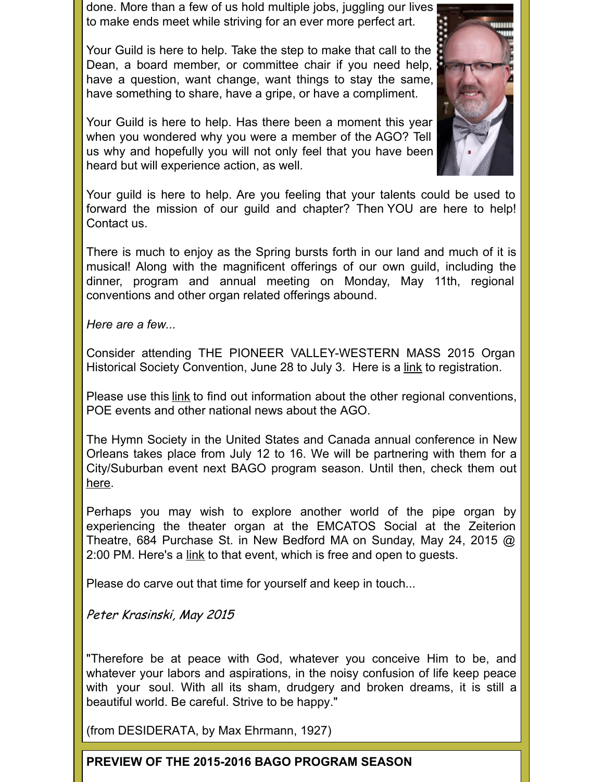done. More than a few of us hold multiple jobs, juggling our lives to make ends meet while striving for an ever more perfect art.

Your Guild is here to help. Take the step to make that call to the Dean, a board member, or committee chair if you need help, have a question, want change, want things to stay the same, have something to share, have a gripe, or have a compliment.

Your Guild is here to help. Has there been a moment this year when you wondered why you were a member of the AGO? Tell us why and hopefully you will not only feel that you have been heard but will experience action, as well.



Your guild is here to help. Are you feeling that your talents could be used to forward the mission of our guild and chapter? Then YOU are here to help! Contact us.

There is much to enjoy as the Spring bursts forth in our land and much of it is musical! Along with the magnificent offerings of our own guild, including the dinner, program and annual meeting on Monday, May 11th, regional conventions and other organ related offerings abound.

*Here are a few...*

Consider attending THE PIONEER VALLEY-WESTERN MASS 2015 Organ Historical Society Convention, June 28 to July 3. Here is a [link](http://www.organsociety.org/2015/) to registration.

Please use this [link](https://www.agohq.org) to find out information about the other regional conventions, POE events and other national news about the AGO.

The Hymn Society in the United States and Canada annual conference in New Orleans takes place from July 12 to 16. We will be partnering with them for a City/Suburban event next BAGO program season. Until then, check them out [here](http://www.thehymnsociety.org/#!2015-new-orleans/c1kdi).

Perhaps you may wish to explore another world of the pipe organ by experiencing the theater organ at the EMCATOS Social at the Zeiterion Theatre, 684 Purchase St. in New Bedford MA on Sunday, May 24, 2015 @ 2:00 PM. Here's a [link](http://emcatos.com/PipeOrganPopsAndSilentsInTheHouse/Events/Special___Member_Events/special___member_events.html) to that event, which is free and open to guests.

Please do carve out that time for yourself and keep in touch...

Peter Krasinski, May 2015

"Therefore be at peace with God, whatever you conceive Him to be, and whatever your labors and aspirations, in the noisy confusion of life keep peace with your soul. With all its sham, drudgery and broken dreams, it is still a beautiful world. Be careful. Strive to be happy."

(from DESIDERATA, by Max Ehrmann, 1927)

**PREVIEW OF THE 2015-2016 BAGO PROGRAM SEASON**